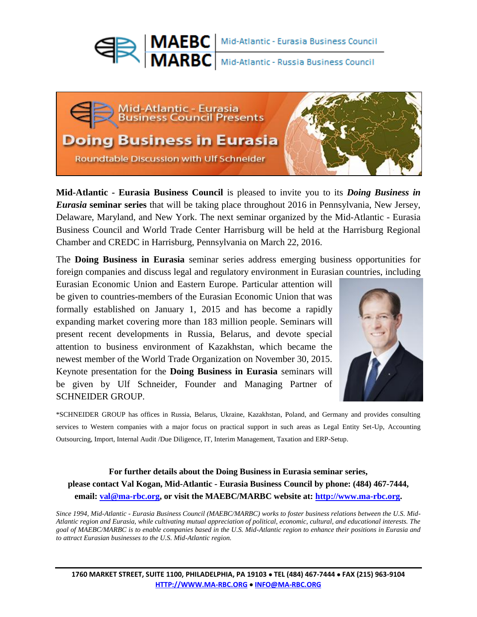

**MARBC** Mid-Atlantic - Russia Business Council



**Mid-Atlantic - Eurasia Business Council** is pleased to invite you to its *Doing Business in Eurasia* **seminar series** that will be taking place throughout 2016 in Pennsylvania, New Jersey, Delaware, Maryland, and New York. The next seminar organized by the Mid-Atlantic - Eurasia Business Council and World Trade Center Harrisburg will be held at the Harrisburg Regional Chamber and CREDC in Harrisburg, Pennsylvania on March 22, 2016.

The **Doing Business in Eurasia** seminar series address emerging business opportunities for foreign companies and discuss legal and regulatory environment in Eurasian countries, including

Eurasian Economic Union and Eastern Europe. Particular attention will be given to countries-members of the Eurasian Economic Union that was formally established on January 1, 2015 and has become a rapidly expanding market covering more than 183 million people. Seminars will present recent developments in Russia, Belarus, and devote special attention to business environment of Kazakhstan, which became the newest member of the World Trade Organization on November 30, 2015. Keynote presentation for the **Doing Business in Eurasia** seminars will be given by Ulf Schneider, Founder and Managing Partner of SCHNEIDER GROUP.



\*SCHNEIDER GROUP has offices in Russia, Belarus, Ukraine, Kazakhstan, Poland, and Germany and provides consulting services to Western companies with a major focus on practical support in such areas as Legal Entity Set-Up, Accounting Outsourcing, Import, Internal Audit /Due Diligence, IT, Interim Management, Taxation and ERP-Setup.

## **For further details about the Doing Business in Eurasia seminar series, please contact Val Kogan, Mid-Atlantic - Eurasia Business Council by phone: (484) 467-7444, email: [val@ma-rbc.org,](https://swatmail.swarthmore.edu/twig/index.php3?&twig_session=a%3A7%3A%7Bs%3A7%3A%22mailbox%22%3Bs%3A5%3A%22INBOX%22%3Bs%3A8%3A%22mailtree%22%3Bs%3A2%3A%220%7C%22%3Bs%3A9%3A%22mailGroup%22%3Bs%3A1%3A%22%2A%22%3Bs%3A6%3A%22sortby%22%3Bs%3A4%3A%252%20) or visit the MAEBC/MARBC website at: [http://www.ma-rbc.org.](http://www.ma-rbc.org/)**

*Since 1994, Mid-Atlantic - Eurasia Business Council (MAEBC/MARBC) works to foster business relations between the U.S. Mid-Atlantic region and Eurasia, while cultivating mutual appreciation of political, economic, cultural, and educational interests. The goal of MAEBC/MARBC is to enable companies based in the U.S. Mid-Atlantic region to enhance their positions in Eurasia and to attract Eurasian businesses to the U.S. Mid-Atlantic region.*